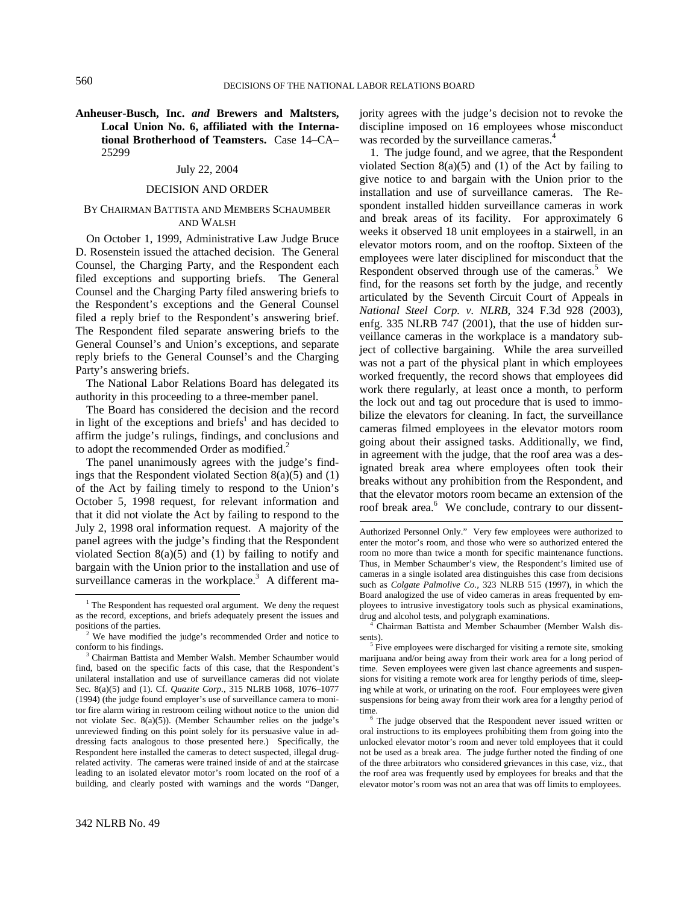1

**Anheuser-Busch, Inc.** *and* **Brewers and Maltsters, Local Union No. 6, affiliated with the International Brotherhood of Teamsters.** Case 14–CA– 25299

# July 22, 2004

## DECISION AND ORDER

## BY CHAIRMAN BATTISTA AND MEMBERS SCHAUMBER AND WALSH

On October 1, 1999, Administrative Law Judge Bruce D. Rosenstein issued the attached decision. The General Counsel, the Charging Party, and the Respondent each filed exceptions and supporting briefs. The General Counsel and the Charging Party filed answering briefs to the Respondent's exceptions and the General Counsel filed a reply brief to the Respondent's answering brief. The Respondent filed separate answering briefs to the General Counsel's and Union's exceptions, and separate reply briefs to the General Counsel's and the Charging Party's answering briefs.

The National Labor Relations Board has delegated its authority in this proceeding to a three-member panel.

The Board has considered the decision and the record in light of the exceptions and briefs<sup>1</sup> and has decided to affirm the judge's rulings, findings, and conclusions and to adopt the recommended Order as modified.<sup>2</sup>

The panel unanimously agrees with the judge's findings that the Respondent violated Section  $8(a)(5)$  and  $(1)$ of the Act by failing timely to respond to the Union's October 5, 1998 request, for relevant information and that it did not violate the Act by failing to respond to the July 2, 1998 oral information request. A majority of the panel agrees with the judge's finding that the Respondent violated Section  $8(a)(5)$  and (1) by failing to notify and bargain with the Union prior to the installation and use of surveillance cameras in the workplace.<sup>3</sup> A different ma-

1. The judge found, and we agree, that the Respondent violated Section  $8(a)(5)$  and (1) of the Act by failing to give notice to and bargain with the Union prior to the installation and use of surveillance cameras. The Respondent installed hidden surveillance cameras in work and break areas of its facility. For approximately 6 weeks it observed 18 unit employees in a stairwell, in an elevator motors room, and on the rooftop. Sixteen of the employees were later disciplined for misconduct that the Respondent observed through use of the cameras.<sup>5</sup> We find, for the reasons set forth by the judge, and recently articulated by the Seventh Circuit Court of Appeals in *National Steel Corp. v. NLRB*, 324 F.3d 928 (2003), enfg. 335 NLRB 747 (2001), that the use of hidden surveillance cameras in the workplace is a mandatory subject of collective bargaining. While the area surveilled was not a part of the physical plant in which employees worked frequently, the record shows that employees did work there regularly, at least once a month, to perform the lock out and tag out procedure that is used to immobilize the elevators for cleaning. In fact, the surveillance cameras filmed employees in the elevator motors room going about their assigned tasks. Additionally, we find, in agreement with the judge, that the roof area was a designated break area where employees often took their breaks without any prohibition from the Respondent, and that the elevator motors room became an extension of the roof break area.<sup>6</sup> We conclude, contrary to our dissent-

 Chairman Battista and Member Schaumber (Member Walsh dissents).

 $\frac{1}{1}$  $<sup>1</sup>$  The Respondent has requested oral argument. We deny the request</sup> as the record, exceptions, and briefs adequately present the issues and positions of the parties.

<sup>&</sup>lt;sup>2</sup> We have modified the judge's recommended Order and notice to conform to his findings.

Chairman Battista and Member Walsh. Member Schaumber would find, based on the specific facts of this case, that the Respondent's unilateral installation and use of surveillance cameras did not violate Sec. 8(a)(5) and (1). Cf. *Quazite Corp.,* 315 NLRB 1068, 1076–1077 (1994) (the judge found employer's use of surveillance camera to monitor fire alarm wiring in restroom ceiling without notice to the union did not violate Sec. 8(a)(5)). (Member Schaumber relies on the judge's unreviewed finding on this point solely for its persuasive value in addressing facts analogous to those presented here.) Specifically, the Respondent here installed the cameras to detect suspected, illegal drugrelated activity. The cameras were trained inside of and at the staircase leading to an isolated elevator motor's room located on the roof of a building, and clearly posted with warnings and the words "Danger,

Authorized Personnel Only." Very few employees were authorized to enter the motor's room, and those who were so authorized entered the room no more than twice a month for specific maintenance functions. Thus, in Member Schaumber's view, the Respondent's limited use of cameras in a single isolated area distinguishes this case from decisions such as *Colgate Palmolive Co.,* 323 NLRB 515 (1997), in which the Board analogized the use of video cameras in areas frequented by employees to intrusive investigatory tools such as physical examinations, drug and alcohol tests, and polygraph examinations. 4

<sup>&</sup>lt;sup>5</sup> Five employees were discharged for visiting a remote site, smoking marijuana and/or being away from their work area for a long period of time. Seven employees were given last chance agreements and suspensions for visiting a remote work area for lengthy periods of time, sleeping while at work, or urinating on the roof. Four employees were given suspensions for being away from their work area for a lengthy period of time.

The judge observed that the Respondent never issued written or oral instructions to its employees prohibiting them from going into the unlocked elevator motor's room and never told employees that it could not be used as a break area. The judge further noted the finding of one of the three arbitrators who considered grievances in this case, viz., that the roof area was frequently used by employees for breaks and that the elevator motor's room was not an area that was off limits to employees.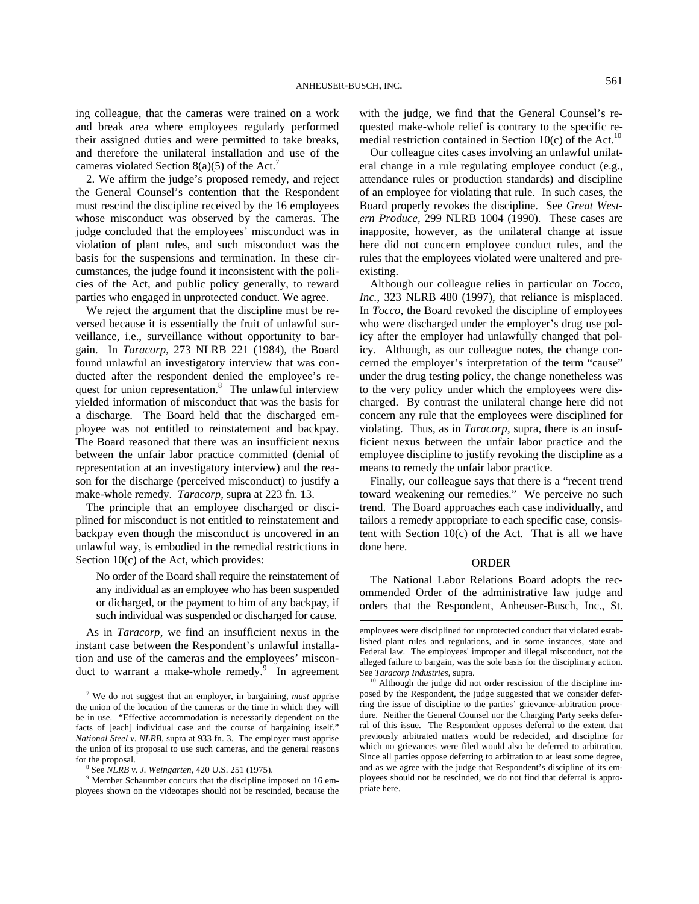$\overline{a}$ 

ing colleague, that the cameras were trained on a work and break area where employees regularly performed their assigned duties and were permitted to take breaks, and therefore the unilateral installation and use of the cameras violated Section 8(a)(5) of the Act.<sup>7</sup>

2. We affirm the judge's proposed remedy, and reject the General Counsel's contention that the Respondent must rescind the discipline received by the 16 employees whose misconduct was observed by the cameras. The judge concluded that the employees' misconduct was in violation of plant rules, and such misconduct was the basis for the suspensions and termination. In these circumstances, the judge found it inconsistent with the policies of the Act, and public policy generally, to reward parties who engaged in unprotected conduct. We agree.

We reject the argument that the discipline must be reversed because it is essentially the fruit of unlawful surveillance, i.e., surveillance without opportunity to bargain. In *Taracorp*, 273 NLRB 221 (1984), the Board found unlawful an investigatory interview that was conducted after the respondent denied the employee's request for union representation.<sup>8</sup> The unlawful interview yielded information of misconduct that was the basis for a discharge. The Board held that the discharged employee was not entitled to reinstatement and backpay. The Board reasoned that there was an insufficient nexus between the unfair labor practice committed (denial of representation at an investigatory interview) and the reason for the discharge (perceived misconduct) to justify a make-whole remedy. *Taracorp,* supra at 223 fn. 13.

The principle that an employee discharged or disciplined for misconduct is not entitled to reinstatement and backpay even though the misconduct is uncovered in an unlawful way, is embodied in the remedial restrictions in Section 10(c) of the Act, which provides:

No order of the Board shall require the reinstatement of any individual as an employee who has been suspended or dicharged, or the payment to him of any backpay, if such individual was suspended or discharged for cause.

As in *Taracorp*, we find an insufficient nexus in the instant case between the Respondent's unlawful installation and use of the cameras and the employees' misconduct to warrant a make-whole remedy.<sup>9</sup> In agreement with the judge, we find that the General Counsel's requested make-whole relief is contrary to the specific remedial restriction contained in Section 10 $(c)$  of the Act.<sup>10</sup>

Our colleague cites cases involving an unlawful unilateral change in a rule regulating employee conduct (e.g., attendance rules or production standards) and discipline of an employee for violating that rule. In such cases, the Board properly revokes the discipline. See *Great Western Produce,* 299 NLRB 1004 (1990). These cases are inapposite, however, as the unilateral change at issue here did not concern employee conduct rules, and the rules that the employees violated were unaltered and preexisting.

Although our colleague relies in particular on *Tocco, Inc.*, 323 NLRB 480 (1997), that reliance is misplaced. In *Tocco*, the Board revoked the discipline of employees who were discharged under the employer's drug use policy after the employer had unlawfully changed that policy. Although, as our colleague notes, the change concerned the employer's interpretation of the term "cause" under the drug testing policy, the change nonetheless was to the very policy under which the employees were discharged. By contrast the unilateral change here did not concern any rule that the employees were disciplined for violating. Thus, as in *Taracorp*, supra, there is an insufficient nexus between the unfair labor practice and the employee discipline to justify revoking the discipline as a means to remedy the unfair labor practice.

Finally, our colleague says that there is a "recent trend toward weakening our remedies." We perceive no such trend. The Board approaches each case individually, and tailors a remedy appropriate to each specific case, consistent with Section 10(c) of the Act. That is all we have done here.

## ORDER

The National Labor Relations Board adopts the recommended Order of the administrative law judge and orders that the Respondent, Anheuser-Busch, Inc., St.

<sup>&</sup>lt;sup>7</sup> We do not suggest that an employer, in bargaining, *must* apprise the union of the location of the cameras or the time in which they will be in use. "Effective accommodation is necessarily dependent on the facts of [each] individual case and the course of bargaining itself." *National Steel v. NLRB*, supra at 933 fn. 3. The employer must apprise the union of its proposal to use such cameras, and the general reasons for the proposal.

See *NLRB v. J. Weingarten*, 420 U.S. 251 (1975).

<sup>&</sup>lt;sup>9</sup> Member Schaumber concurs that the discipline imposed on 16 employees shown on the videotapes should not be rescinded, because the

employees were disciplined for unprotected conduct that violated established plant rules and regulations, and in some instances, state and Federal law. The employees' improper and illegal misconduct, not the alleged failure to bargain, was the sole basis for the disciplinary action. See *Taracorp Industries*, supra.<br><sup>10</sup> Although the judge did not order rescission of the discipline im-

posed by the Respondent, the judge suggested that we consider deferring the issue of discipline to the parties' grievance-arbitration procedure. Neither the General Counsel nor the Charging Party seeks deferral of this issue. The Respondent opposes deferral to the extent that previously arbitrated matters would be redecided, and discipline for which no grievances were filed would also be deferred to arbitration. Since all parties oppose deferring to arbitration to at least some degree, and as we agree with the judge that Respondent's discipline of its employees should not be rescinded, we do not find that deferral is appropriate here.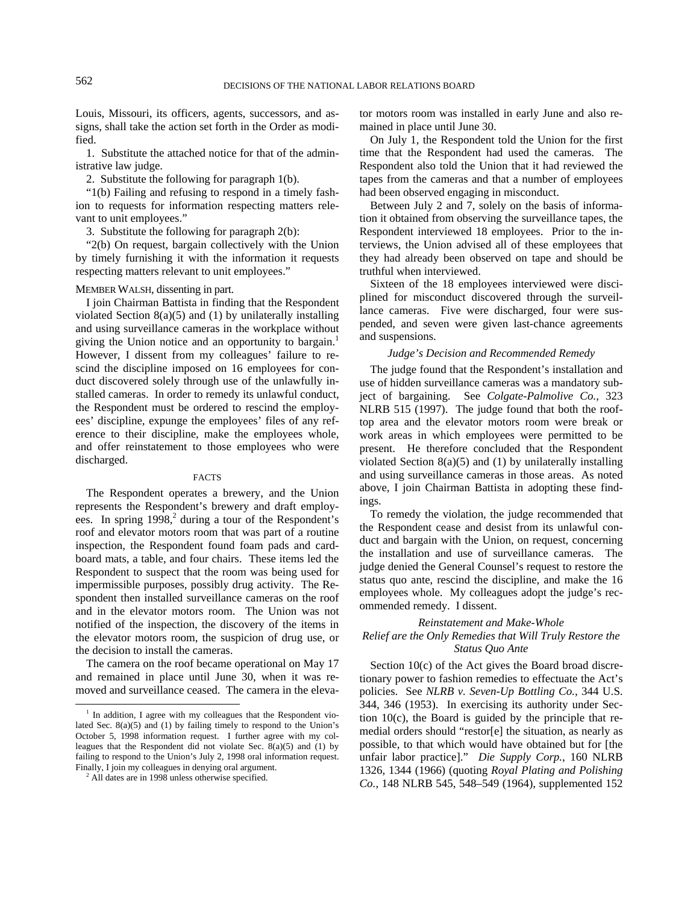Louis, Missouri, its officers, agents, successors, and assigns, shall take the action set forth in the Order as modified.

1. Substitute the attached notice for that of the administrative law judge.

2. Substitute the following for paragraph 1(b).

"1(b) Failing and refusing to respond in a timely fashion to requests for information respecting matters relevant to unit employees."

3. Substitute the following for paragraph 2(b):

"2(b) On request, bargain collectively with the Union by timely furnishing it with the information it requests respecting matters relevant to unit employees."

## MEMBER WALSH, dissenting in part.

I join Chairman Battista in finding that the Respondent violated Section 8(a)(5) and (1) by unilaterally installing and using surveillance cameras in the workplace without giving the Union notice and an opportunity to bargain.<sup>1</sup> However, I dissent from my colleagues' failure to rescind the discipline imposed on 16 employees for conduct discovered solely through use of the unlawfully installed cameras. In order to remedy its unlawful conduct, the Respondent must be ordered to rescind the employees' discipline, expunge the employees' files of any reference to their discipline, make the employees whole, and offer reinstatement to those employees who were discharged.

#### FACTS

The Respondent operates a brewery, and the Union represents the Respondent's brewery and draft employees. In spring  $1998<sup>2</sup>$  during a tour of the Respondent's roof and elevator motors room that was part of a routine inspection, the Respondent found foam pads and cardboard mats, a table, and four chairs. These items led the Respondent to suspect that the room was being used for impermissible purposes, possibly drug activity. The Respondent then installed surveillance cameras on the roof and in the elevator motors room. The Union was not notified of the inspection, the discovery of the items in the elevator motors room, the suspicion of drug use, or the decision to install the cameras.

The camera on the roof became operational on May 17 and remained in place until June 30, when it was removed and surveillance ceased. The camera in the elevator motors room was installed in early June and also remained in place until June 30.

On July 1, the Respondent told the Union for the first time that the Respondent had used the cameras. The Respondent also told the Union that it had reviewed the tapes from the cameras and that a number of employees had been observed engaging in misconduct.

Between July 2 and 7, solely on the basis of information it obtained from observing the surveillance tapes, the Respondent interviewed 18 employees. Prior to the interviews, the Union advised all of these employees that they had already been observed on tape and should be truthful when interviewed.

Sixteen of the 18 employees interviewed were disciplined for misconduct discovered through the surveillance cameras. Five were discharged, four were suspended, and seven were given last-chance agreements and suspensions.

## *Judge's Decision and Recommended Remedy*

The judge found that the Respondent's installation and use of hidden surveillance cameras was a mandatory subject of bargaining. See *Colgate-Palmolive Co.*, 323 NLRB 515 (1997). The judge found that both the rooftop area and the elevator motors room were break or work areas in which employees were permitted to be present. He therefore concluded that the Respondent violated Section 8(a)(5) and (1) by unilaterally installing and using surveillance cameras in those areas. As noted above, I join Chairman Battista in adopting these findings.

To remedy the violation, the judge recommended that the Respondent cease and desist from its unlawful conduct and bargain with the Union, on request, concerning the installation and use of surveillance cameras. The judge denied the General Counsel's request to restore the status quo ante, rescind the discipline, and make the 16 employees whole. My colleagues adopt the judge's recommended remedy. I dissent.

## *Reinstatement and Make-Whole*

# *Relief are the Only Remedies that Will Truly Restore the Status Quo Ante*

Section 10(c) of the Act gives the Board broad discretionary power to fashion remedies to effectuate the Act's policies. See *NLRB v. Seven-Up Bottling Co.,* 344 U.S. 344, 346 (1953). In exercising its authority under Section 10(c), the Board is guided by the principle that remedial orders should "restor[e] the situation, as nearly as possible, to that which would have obtained but for [the unfair labor practice]." *Die Supply Corp.,* 160 NLRB 1326, 1344 (1966) (quoting *Royal Plating and Polishing Co.,* 148 NLRB 545, 548–549 (1964), supplemented 152

 <sup>1</sup> In addition, I agree with my colleagues that the Respondent violated Sec. 8(a)(5) and (1) by failing timely to respond to the Union's October 5, 1998 information request. I further agree with my colleagues that the Respondent did not violate Sec. 8(a)(5) and (1) by failing to respond to the Union's July 2, 1998 oral information request. Finally, I join my colleagues in denying oral argument. 2

All dates are in 1998 unless otherwise specified.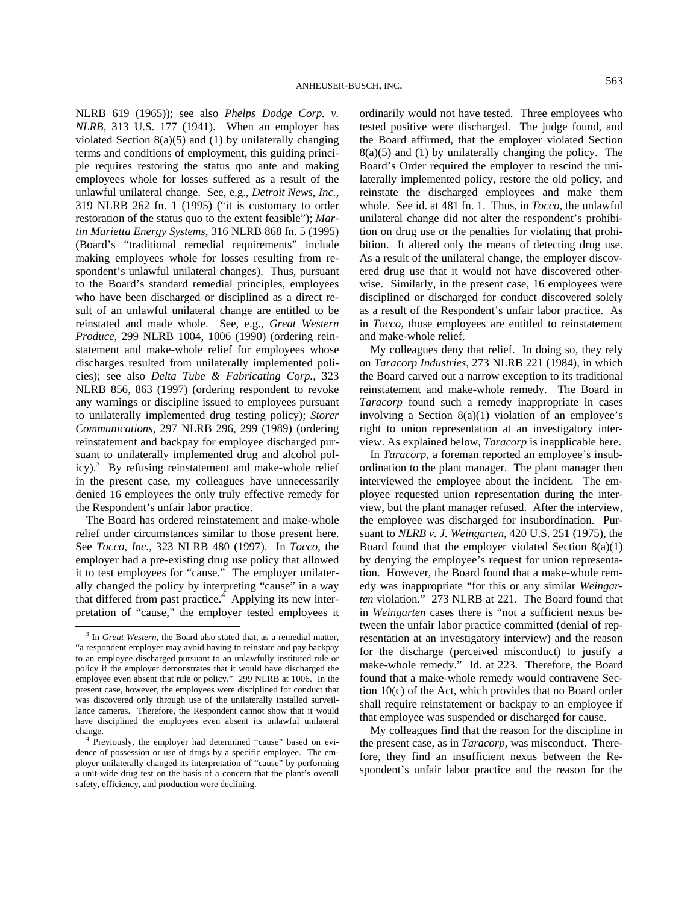NLRB 619 (1965)); see also *Phelps Dodge Corp. v. NLRB,* 313 U.S. 177 (1941). When an employer has violated Section 8(a)(5) and (1) by unilaterally changing terms and conditions of employment, this guiding principle requires restoring the status quo ante and making employees whole for losses suffered as a result of the unlawful unilateral change. See, e.g., *Detroit News, Inc.,* 319 NLRB 262 fn. 1 (1995) ("it is customary to order restoration of the status quo to the extent feasible"); *Martin Marietta Energy Systems*, 316 NLRB 868 fn. 5 (1995) (Board's "traditional remedial requirements" include making employees whole for losses resulting from respondent's unlawful unilateral changes). Thus, pursuant to the Board's standard remedial principles, employees who have been discharged or disciplined as a direct result of an unlawful unilateral change are entitled to be reinstated and made whole. See, e.g., *Great Western Produce*, 299 NLRB 1004, 1006 (1990) (ordering reinstatement and make-whole relief for employees whose discharges resulted from unilaterally implemented policies); see also *Delta Tube & Fabricating Corp.,* 323 NLRB 856, 863 (1997) (ordering respondent to revoke any warnings or discipline issued to employees pursuant to unilaterally implemented drug testing policy); *Storer Communications*, 297 NLRB 296, 299 (1989) (ordering reinstatement and backpay for employee discharged pursuant to unilaterally implemented drug and alcohol policy).<sup>3</sup> By refusing reinstatement and make-whole relief in the present case, my colleagues have unnecessarily denied 16 employees the only truly effective remedy for the Respondent's unfair labor practice.

The Board has ordered reinstatement and make-whole relief under circumstances similar to those present here. See *Tocco, Inc.*, 323 NLRB 480 (1997). In *Tocco*, the employer had a pre-existing drug use policy that allowed it to test employees for "cause." The employer unilaterally changed the policy by interpreting "cause" in a way that differed from past practice. $4$  Applying its new interpretation of "cause," the employer tested employees it ordinarily would not have tested. Three employees who tested positive were discharged. The judge found, and the Board affirmed, that the employer violated Section  $8(a)(5)$  and  $(1)$  by unilaterally changing the policy. The Board's Order required the employer to rescind the unilaterally implemented policy, restore the old policy, and reinstate the discharged employees and make them whole. See id. at 481 fn. 1. Thus, in *Tocco*, the unlawful unilateral change did not alter the respondent's prohibition on drug use or the penalties for violating that prohibition. It altered only the means of detecting drug use. As a result of the unilateral change, the employer discovered drug use that it would not have discovered otherwise. Similarly, in the present case, 16 employees were disciplined or discharged for conduct discovered solely as a result of the Respondent's unfair labor practice. As in *Tocco*, those employees are entitled to reinstatement and make-whole relief.

My colleagues deny that relief. In doing so, they rely on *Taracorp Industries*, 273 NLRB 221 (1984), in which the Board carved out a narrow exception to its traditional reinstatement and make-whole remedy. The Board in *Taracorp* found such a remedy inappropriate in cases involving a Section  $8(a)(1)$  violation of an employee's right to union representation at an investigatory interview. As explained below, *Taracorp* is inapplicable here.

In *Taracorp*, a foreman reported an employee's insubordination to the plant manager. The plant manager then interviewed the employee about the incident. The employee requested union representation during the interview, but the plant manager refused. After the interview, the employee was discharged for insubordination. Pursuant to *NLRB v. J. Weingarten*, 420 U.S. 251 (1975), the Board found that the employer violated Section 8(a)(1) by denying the employee's request for union representation. However, the Board found that a make-whole remedy was inappropriate "for this or any similar *Weingarten* violation." 273 NLRB at 221. The Board found that in *Weingarten* cases there is "not a sufficient nexus between the unfair labor practice committed (denial of representation at an investigatory interview) and the reason for the discharge (perceived misconduct) to justify a make-whole remedy." Id. at 223. Therefore, the Board found that a make-whole remedy would contravene Section 10(c) of the Act, which provides that no Board order shall require reinstatement or backpay to an employee if that employee was suspended or discharged for cause.

My colleagues find that the reason for the discipline in the present case, as in *Taracorp*, was misconduct. Therefore, they find an insufficient nexus between the Respondent's unfair labor practice and the reason for the

<sup>&</sup>lt;sup>3</sup> In *Great Western*, the Board also stated that, as a remedial matter, "a respondent employer may avoid having to reinstate and pay backpay to an employee discharged pursuant to an unlawfully instituted rule or policy if the employer demonstrates that it would have discharged the employee even absent that rule or policy." 299 NLRB at 1006. In the present case, however, the employees were disciplined for conduct that was discovered only through use of the unilaterally installed surveillance cameras. Therefore, the Respondent cannot show that it would have disciplined the employees even absent its unlawful unilateral change.

Previously, the employer had determined "cause" based on evidence of possession or use of drugs by a specific employee. The employer unilaterally changed its interpretation of "cause" by performing a unit-wide drug test on the basis of a concern that the plant's overall safety, efficiency, and production were declining.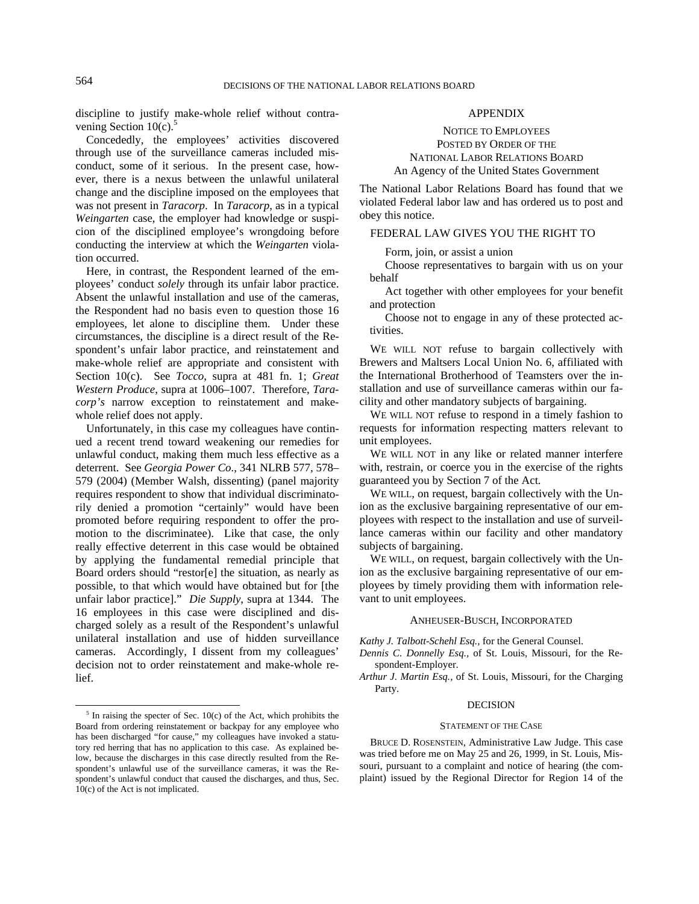discipline to justify make-whole relief without contravening Section  $10(c)$ .<sup>5</sup>

Concededly, the employees' activities discovered through use of the surveillance cameras included misconduct, some of it serious. In the present case, however, there is a nexus between the unlawful unilateral change and the discipline imposed on the employees that was not present in *Taracorp*. In *Taracorp*, as in a typical *Weingarten* case, the employer had knowledge or suspicion of the disciplined employee's wrongdoing before conducting the interview at which the *Weingarten* violation occurred.

Here, in contrast, the Respondent learned of the employees' conduct *solely* through its unfair labor practice. Absent the unlawful installation and use of the cameras, the Respondent had no basis even to question those 16 employees, let alone to discipline them. Under these circumstances, the discipline is a direct result of the Respondent's unfair labor practice, and reinstatement and make-whole relief are appropriate and consistent with Section 10(c). See *Tocco*, supra at 481 fn. 1; *Great Western Produce*, supra at 1006–1007. Therefore, *Taracorp's* narrow exception to reinstatement and makewhole relief does not apply.

Unfortunately, in this case my colleagues have continued a recent trend toward weakening our remedies for unlawful conduct, making them much less effective as a deterrent. See *Georgia Power Co.*, 341 NLRB 577, 578– 579 (2004) (Member Walsh, dissenting) (panel majority requires respondent to show that individual discriminatorily denied a promotion "certainly" would have been promoted before requiring respondent to offer the promotion to the discriminatee). Like that case, the only really effective deterrent in this case would be obtained by applying the fundamental remedial principle that Board orders should "restor[e] the situation, as nearly as possible, to that which would have obtained but for [the unfair labor practice]." *Die Supply*, supra at 1344. The 16 employees in this case were disciplined and discharged solely as a result of the Respondent's unlawful unilateral installation and use of hidden surveillance cameras. Accordingly, I dissent from my colleagues' decision not to order reinstatement and make-whole relief.

## APPENDIX

NOTICE TO EMPLOYEES POSTED BY ORDER OF THE NATIONAL LABOR RELATIONS BOARD An Agency of the United States Government

The National Labor Relations Board has found that we violated Federal labor law and has ordered us to post and obey this notice.

# FEDERAL LAW GIVES YOU THE RIGHT TO

Form, join, or assist a union

Choose representatives to bargain with us on your behalf

Act together with other employees for your benefit and protection

Choose not to engage in any of these protected activities.

WE WILL NOT refuse to bargain collectively with Brewers and Maltsers Local Union No. 6, affiliated with the International Brotherhood of Teamsters over the installation and use of surveillance cameras within our facility and other mandatory subjects of bargaining.

WE WILL NOT refuse to respond in a timely fashion to requests for information respecting matters relevant to unit employees.

WE WILL NOT in any like or related manner interfere with, restrain, or coerce you in the exercise of the rights guaranteed you by Section 7 of the Act.

WE WILL, on request, bargain collectively with the Union as the exclusive bargaining representative of our employees with respect to the installation and use of surveillance cameras within our facility and other mandatory subjects of bargaining.

WE WILL, on request, bargain collectively with the Union as the exclusive bargaining representative of our employees by timely providing them with information relevant to unit employees.

## ANHEUSER-BUSCH, INCORPORATED

*Kathy J. Talbott-Schehl Esq.,* for the General Counsel.

- *Dennis C. Donnelly Esq.,* of St. Louis, Missouri, for the Respondent-Employer.
- *Arthur J. Martin Esq.,* of St. Louis, Missouri, for the Charging Party.

#### DECISION

#### STATEMENT OF THE CASE

BRUCE D. ROSENSTEIN, Administrative Law Judge. This case was tried before me on May 25 and 26, 1999, in St. Louis, Missouri, pursuant to a complaint and notice of hearing (the complaint) issued by the Regional Director for Region 14 of the

 $\frac{1}{\sqrt{5}}$  In raising the specter of Sec. 10(c) of the Act, which prohibits the Board from ordering reinstatement or backpay for any employee who has been discharged "for cause," my colleagues have invoked a statutory red herring that has no application to this case. As explained below, because the discharges in this case directly resulted from the Respondent's unlawful use of the surveillance cameras, it was the Respondent's unlawful conduct that caused the discharges, and thus, Sec. 10(c) of the Act is not implicated.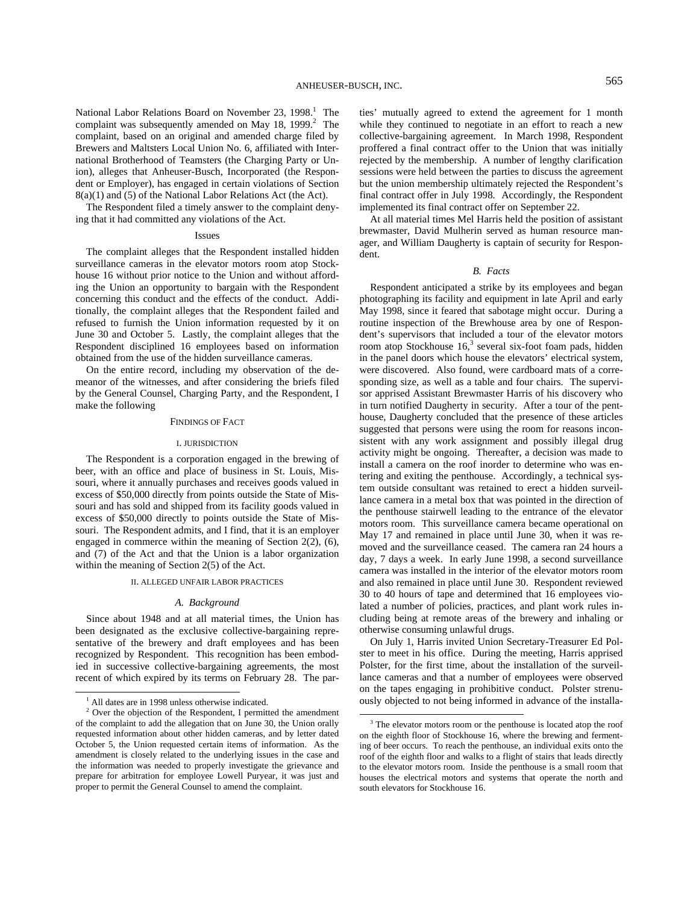National Labor Relations Board on November 23, 1998.<sup>1</sup> The complaint was subsequently amended on May 18, 1999. $^2$  The complaint, based on an original and amended charge filed by Brewers and Maltsters Local Union No. 6, affiliated with International Brotherhood of Teamsters (the Charging Party or Union), alleges that Anheuser-Busch, Incorporated (the Respondent or Employer), has engaged in certain violations of Section 8(a)(1) and (5) of the National Labor Relations Act (the Act).

The Respondent filed a timely answer to the complaint denying that it had committed any violations of the Act.

#### Issues

The complaint alleges that the Respondent installed hidden surveillance cameras in the elevator motors room atop Stockhouse 16 without prior notice to the Union and without affording the Union an opportunity to bargain with the Respondent concerning this conduct and the effects of the conduct. Additionally, the complaint alleges that the Respondent failed and refused to furnish the Union information requested by it on June 30 and October 5. Lastly, the complaint alleges that the Respondent disciplined 16 employees based on information obtained from the use of the hidden surveillance cameras.

On the entire record, including my observation of the demeanor of the witnesses, and after considering the briefs filed by the General Counsel, Charging Party, and the Respondent, I make the following

#### FINDINGS OF FACT

#### I. JURISDICTION

The Respondent is a corporation engaged in the brewing of beer, with an office and place of business in St. Louis, Missouri, where it annually purchases and receives goods valued in excess of \$50,000 directly from points outside the State of Missouri and has sold and shipped from its facility goods valued in excess of \$50,000 directly to points outside the State of Missouri. The Respondent admits, and I find, that it is an employer engaged in commerce within the meaning of Section 2(2), (6), and (7) of the Act and that the Union is a labor organization within the meaning of Section 2(5) of the Act.

## II. ALLEGED UNFAIR LABOR PRACTICES

#### *A. Background*

Since about 1948 and at all material times, the Union has been designated as the exclusive collective-bargaining representative of the brewery and draft employees and has been recognized by Respondent. This recognition has been embodied in successive collective-bargaining agreements, the most recent of which expired by its terms on February 28. The parties' mutually agreed to extend the agreement for 1 month while they continued to negotiate in an effort to reach a new collective-bargaining agreement. In March 1998, Respondent proffered a final contract offer to the Union that was initially rejected by the membership. A number of lengthy clarification sessions were held between the parties to discuss the agreement but the union membership ultimately rejected the Respondent's final contract offer in July 1998. Accordingly, the Respondent implemented its final contract offer on September 22.

At all material times Mel Harris held the position of assistant brewmaster, David Mulherin served as human resource manager, and William Daugherty is captain of security for Respondent.

### *B. Facts*

Respondent anticipated a strike by its employees and began photographing its facility and equipment in late April and early May 1998, since it feared that sabotage might occur. During a routine inspection of the Brewhouse area by one of Respondent's supervisors that included a tour of the elevator motors room atop Stockhouse  $16<sup>3</sup>$  several six-foot foam pads, hidden in the panel doors which house the elevators' electrical system, were discovered. Also found, were cardboard mats of a corresponding size, as well as a table and four chairs. The supervisor apprised Assistant Brewmaster Harris of his discovery who in turn notified Daugherty in security. After a tour of the penthouse, Daugherty concluded that the presence of these articles suggested that persons were using the room for reasons inconsistent with any work assignment and possibly illegal drug activity might be ongoing. Thereafter, a decision was made to install a camera on the roof inorder to determine who was entering and exiting the penthouse. Accordingly, a technical system outside consultant was retained to erect a hidden surveillance camera in a metal box that was pointed in the direction of the penthouse stairwell leading to the entrance of the elevator motors room. This surveillance camera became operational on May 17 and remained in place until June 30, when it was removed and the surveillance ceased. The camera ran 24 hours a day, 7 days a week. In early June 1998, a second surveillance camera was installed in the interior of the elevator motors room and also remained in place until June 30. Respondent reviewed 30 to 40 hours of tape and determined that 16 employees violated a number of policies, practices, and plant work rules including being at remote areas of the brewery and inhaling or otherwise consuming unlawful drugs.

On July 1, Harris invited Union Secretary-Treasurer Ed Polster to meet in his office. During the meeting, Harris apprised Polster, for the first time, about the installation of the surveillance cameras and that a number of employees were observed on the tapes engaging in prohibitive conduct. Polster strenuously objected to not being informed in advance of the installa-

 <sup>1</sup> All dates are in 1998 unless otherwise indicated.

 $2^2$  Over the objection of the Respondent, I permitted the amendment of the complaint to add the allegation that on June 30, the Union orally requested information about other hidden cameras, and by letter dated October 5, the Union requested certain items of information. As the amendment is closely related to the underlying issues in the case and the information was needed to properly investigate the grievance and prepare for arbitration for employee Lowell Puryear, it was just and proper to permit the General Counsel to amend the complaint.

<sup>&</sup>lt;sup>3</sup> The elevator motors room or the penthouse is located atop the roof on the eighth floor of Stockhouse 16, where the brewing and fermenting of beer occurs. To reach the penthouse, an individual exits onto the roof of the eighth floor and walks to a flight of stairs that leads directly to the elevator motors room. Inside the penthouse is a small room that houses the electrical motors and systems that operate the north and south elevators for Stockhouse 16.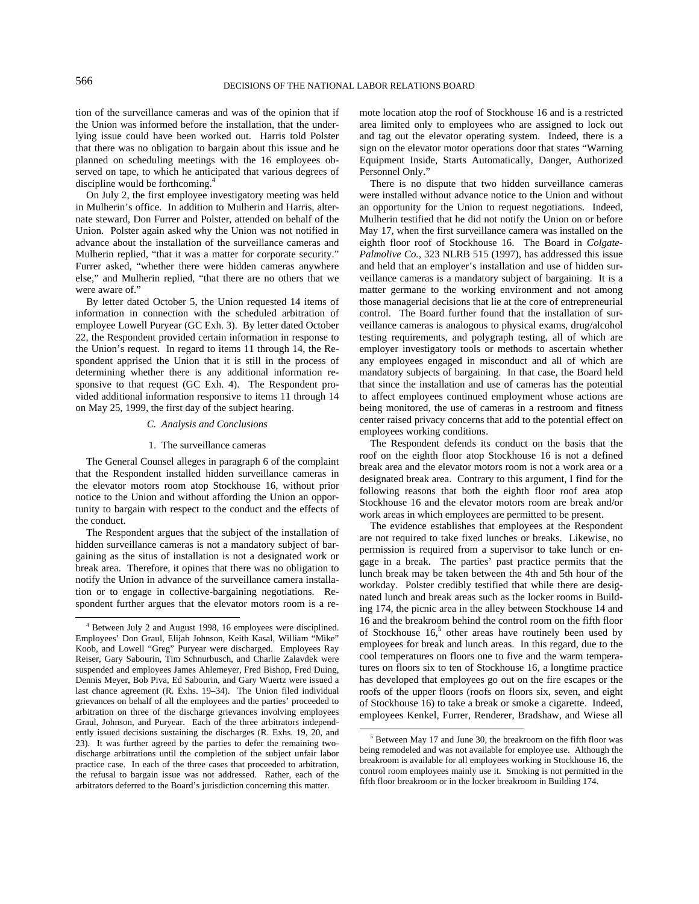tion of the surveillance cameras and was of the opinion that if the Union was informed before the installation, that the underlying issue could have been worked out. Harris told Polster that there was no obligation to bargain about this issue and he planned on scheduling meetings with the 16 employees observed on tape, to which he anticipated that various degrees of discipline would be forthcoming.<sup>4</sup>

On July 2, the first employee investigatory meeting was held in Mulherin's office. In addition to Mulherin and Harris, alternate steward, Don Furrer and Polster, attended on behalf of the Union. Polster again asked why the Union was not notified in advance about the installation of the surveillance cameras and Mulherin replied, "that it was a matter for corporate security." Furrer asked, "whether there were hidden cameras anywhere else," and Mulherin replied, "that there are no others that we were aware of."

By letter dated October 5, the Union requested 14 items of information in connection with the scheduled arbitration of employee Lowell Puryear (GC Exh. 3). By letter dated October 22, the Respondent provided certain information in response to the Union's request. In regard to items 11 through 14, the Respondent apprised the Union that it is still in the process of determining whether there is any additional information responsive to that request (GC Exh. 4). The Respondent provided additional information responsive to items 11 through 14 on May 25, 1999, the first day of the subject hearing.

## *C. Analysis and Conclusions*

#### 1. The surveillance cameras

The General Counsel alleges in paragraph 6 of the complaint that the Respondent installed hidden surveillance cameras in the elevator motors room atop Stockhouse 16, without prior notice to the Union and without affording the Union an opportunity to bargain with respect to the conduct and the effects of the conduct.

The Respondent argues that the subject of the installation of hidden surveillance cameras is not a mandatory subject of bargaining as the situs of installation is not a designated work or break area. Therefore, it opines that there was no obligation to notify the Union in advance of the surveillance camera installation or to engage in collective-bargaining negotiations. Respondent further argues that the elevator motors room is a remote location atop the roof of Stockhouse 16 and is a restricted area limited only to employees who are assigned to lock out and tag out the elevator operating system. Indeed, there is a sign on the elevator motor operations door that states "Warning Equipment Inside, Starts Automatically, Danger, Authorized Personnel Only."

There is no dispute that two hidden surveillance cameras were installed without advance notice to the Union and without an opportunity for the Union to request negotiations. Indeed, Mulherin testified that he did not notify the Union on or before May 17, when the first surveillance camera was installed on the eighth floor roof of Stockhouse 16. The Board in *Colgate-Palmolive Co., 323 NLRB 515 (1997), has addressed this issue* and held that an employer's installation and use of hidden surveillance cameras is a mandatory subject of bargaining. It is a matter germane to the working environment and not among those managerial decisions that lie at the core of entrepreneurial control. The Board further found that the installation of surveillance cameras is analogous to physical exams, drug/alcohol testing requirements, and polygraph testing, all of which are employer investigatory tools or methods to ascertain whether any employees engaged in misconduct and all of which are mandatory subjects of bargaining. In that case, the Board held that since the installation and use of cameras has the potential to affect employees continued employment whose actions are being monitored, the use of cameras in a restroom and fitness center raised privacy concerns that add to the potential effect on employees working conditions.

The Respondent defends its conduct on the basis that the roof on the eighth floor atop Stockhouse 16 is not a defined break area and the elevator motors room is not a work area or a designated break area. Contrary to this argument, I find for the following reasons that both the eighth floor roof area atop Stockhouse 16 and the elevator motors room are break and/or work areas in which employees are permitted to be present.

The evidence establishes that employees at the Respondent are not required to take fixed lunches or breaks. Likewise, no permission is required from a supervisor to take lunch or engage in a break. The parties' past practice permits that the lunch break may be taken between the 4th and 5th hour of the workday. Polster credibly testified that while there are designated lunch and break areas such as the locker rooms in Building 174, the picnic area in the alley between Stockhouse 14 and 16 and the breakroom behind the control room on the fifth floor of Stockhouse  $16<sup>5</sup>$  other areas have routinely been used by employees for break and lunch areas. In this regard, due to the cool temperatures on floors one to five and the warm temperatures on floors six to ten of Stockhouse 16, a longtime practice has developed that employees go out on the fire escapes or the roofs of the upper floors (roofs on floors six, seven, and eight of Stockhouse 16) to take a break or smoke a cigarette. Indeed, employees Kenkel, Furrer, Renderer, Bradshaw, and Wiese all

 <sup>4</sup> Between July 2 and August 1998, 16 employees were disciplined. Employees' Don Graul, Elijah Johnson, Keith Kasal, William "Mike" Koob, and Lowell "Greg" Puryear were discharged. Employees Ray Reiser, Gary Sabourin, Tim Schnurbusch, and Charlie Zalavdek were suspended and employees James Ahlemeyer, Fred Bishop, Fred Duing, Dennis Meyer, Bob Piva, Ed Sabourin, and Gary Wuertz were issued a last chance agreement (R. Exhs. 19–34). The Union filed individual grievances on behalf of all the employees and the parties' proceeded to arbitration on three of the discharge grievances involving employees Graul, Johnson, and Puryear. Each of the three arbitrators independently issued decisions sustaining the discharges (R. Exhs. 19, 20, and 23). It was further agreed by the parties to defer the remaining twodischarge arbitrations until the completion of the subject unfair labor practice case. In each of the three cases that proceeded to arbitration, the refusal to bargain issue was not addressed. Rather, each of the arbitrators deferred to the Board's jurisdiction concerning this matter.

<sup>&</sup>lt;sup>5</sup> Between May 17 and June 30, the breakroom on the fifth floor was being remodeled and was not available for employee use. Although the breakroom is available for all employees working in Stockhouse 16, the control room employees mainly use it. Smoking is not permitted in the fifth floor breakroom or in the locker breakroom in Building 174.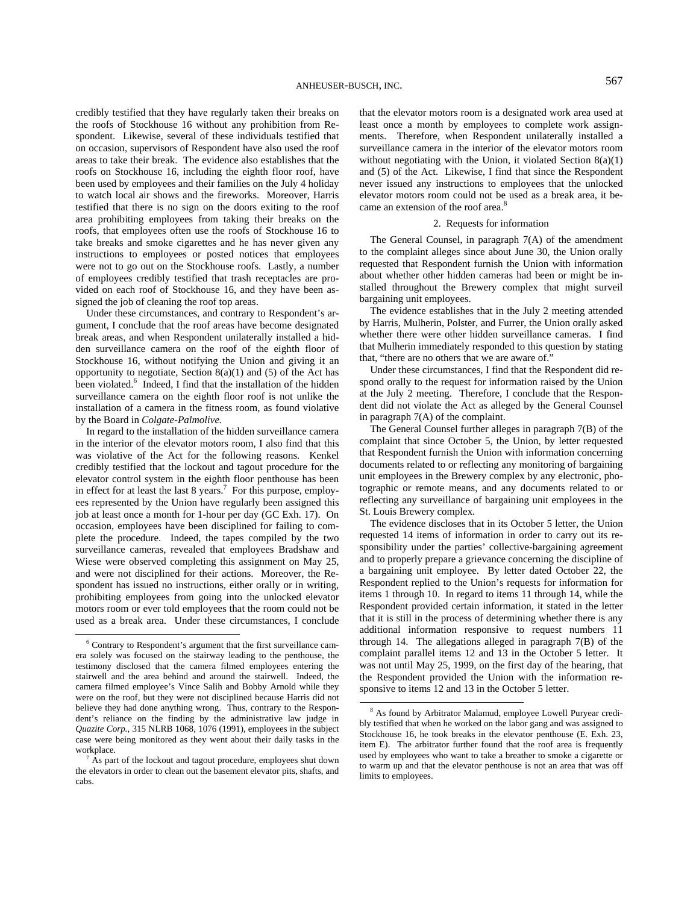credibly testified that they have regularly taken their breaks on the roofs of Stockhouse 16 without any prohibition from Respondent. Likewise, several of these individuals testified that on occasion, supervisors of Respondent have also used the roof areas to take their break. The evidence also establishes that the roofs on Stockhouse 16, including the eighth floor roof, have been used by employees and their families on the July 4 holiday to watch local air shows and the fireworks. Moreover, Harris testified that there is no sign on the doors exiting to the roof area prohibiting employees from taking their breaks on the roofs, that employees often use the roofs of Stockhouse 16 to take breaks and smoke cigarettes and he has never given any instructions to employees or posted notices that employees were not to go out on the Stockhouse roofs. Lastly, a number of employees credibly testified that trash receptacles are provided on each roof of Stockhouse 16, and they have been assigned the job of cleaning the roof top areas.

Under these circumstances, and contrary to Respondent's argument, I conclude that the roof areas have become designated break areas, and when Respondent unilaterally installed a hidden surveillance camera on the roof of the eighth floor of Stockhouse 16, without notifying the Union and giving it an opportunity to negotiate, Section  $8(a)(1)$  and  $(5)$  of the Act has been violated.<sup>6</sup> Indeed, I find that the installation of the hidden surveillance camera on the eighth floor roof is not unlike the installation of a camera in the fitness room, as found violative by the Board in *Colgate-Palmolive.* 

In regard to the installation of the hidden surveillance camera in the interior of the elevator motors room, I also find that this was violative of the Act for the following reasons. Kenkel credibly testified that the lockout and tagout procedure for the elevator control system in the eighth floor penthouse has been in effect for at least the last  $8 \text{ years.}^7$  For this purpose, employees represented by the Union have regularly been assigned this job at least once a month for 1-hour per day (GC Exh. 17). On occasion, employees have been disciplined for failing to complete the procedure. Indeed, the tapes compiled by the two surveillance cameras, revealed that employees Bradshaw and Wiese were observed completing this assignment on May 25, and were not disciplined for their actions. Moreover, the Respondent has issued no instructions, either orally or in writing, prohibiting employees from going into the unlocked elevator motors room or ever told employees that the room could not be used as a break area. Under these circumstances, I conclude

that the elevator motors room is a designated work area used at least once a month by employees to complete work assignments. Therefore, when Respondent unilaterally installed a surveillance camera in the interior of the elevator motors room without negotiating with the Union, it violated Section 8(a)(1) and (5) of the Act. Likewise, I find that since the Respondent never issued any instructions to employees that the unlocked elevator motors room could not be used as a break area, it became an extension of the roof area.<sup>8</sup>

## 2. Requests for information

The General Counsel, in paragraph  $7(A)$  of the amendment to the complaint alleges since about June 30, the Union orally requested that Respondent furnish the Union with information about whether other hidden cameras had been or might be installed throughout the Brewery complex that might surveil bargaining unit employees.

The evidence establishes that in the July 2 meeting attended by Harris, Mulherin, Polster, and Furrer, the Union orally asked whether there were other hidden surveillance cameras. I find that Mulherin immediately responded to this question by stating that, "there are no others that we are aware of."

Under these circumstances, I find that the Respondent did respond orally to the request for information raised by the Union at the July 2 meeting. Therefore, I conclude that the Respondent did not violate the Act as alleged by the General Counsel in paragraph 7(A) of the complaint.

The General Counsel further alleges in paragraph 7(B) of the complaint that since October 5, the Union, by letter requested that Respondent furnish the Union with information concerning documents related to or reflecting any monitoring of bargaining unit employees in the Brewery complex by any electronic, photographic or remote means, and any documents related to or reflecting any surveillance of bargaining unit employees in the St. Louis Brewery complex.

The evidence discloses that in its October 5 letter, the Union requested 14 items of information in order to carry out its responsibility under the parties' collective-bargaining agreement and to properly prepare a grievance concerning the discipline of a bargaining unit employee. By letter dated October 22, the Respondent replied to the Union's requests for information for items 1 through 10. In regard to items 11 through 14, while the Respondent provided certain information, it stated in the letter that it is still in the process of determining whether there is any additional information responsive to request numbers 11 through 14. The allegations alleged in paragraph 7(B) of the complaint parallel items 12 and 13 in the October 5 letter. It was not until May 25, 1999, on the first day of the hearing, that the Respondent provided the Union with the information responsive to items 12 and 13 in the October 5 letter.

 <sup>6</sup> Contrary to Respondent's argument that the first surveillance camera solely was focused on the stairway leading to the penthouse, the testimony disclosed that the camera filmed employees entering the stairwell and the area behind and around the stairwell. Indeed, the camera filmed employee's Vince Salih and Bobby Arnold while they were on the roof, but they were not disciplined because Harris did not believe they had done anything wrong. Thus, contrary to the Respondent's reliance on the finding by the administrative law judge in *Quazite Corp.,* 315 NLRB 1068, 1076 (1991), employees in the subject case were being monitored as they went about their daily tasks in the workplace.

As part of the lockout and tagout procedure, employees shut down the elevators in order to clean out the basement elevator pits, shafts, and cabs.

 $\frac{1}{8}$  As found by Arbitrator Malamud, employee Lowell Puryear credibly testified that when he worked on the labor gang and was assigned to Stockhouse 16, he took breaks in the elevator penthouse (E. Exh. 23, item E). The arbitrator further found that the roof area is frequently used by employees who want to take a breather to smoke a cigarette or to warm up and that the elevator penthouse is not an area that was off limits to employees.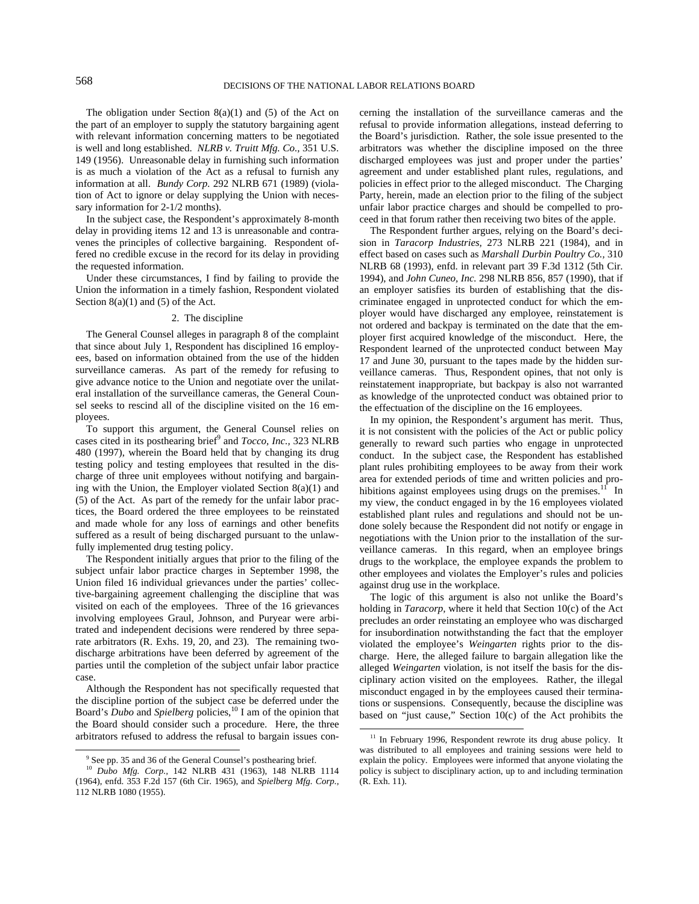The obligation under Section  $8(a)(1)$  and  $(5)$  of the Act on the part of an employer to supply the statutory bargaining agent with relevant information concerning matters to be negotiated is well and long established. *NLRB v. Truitt Mfg. Co.,* 351 U.S. 149 (1956). Unreasonable delay in furnishing such information is as much a violation of the Act as a refusal to furnish any information at all. *Bundy Corp.* 292 NLRB 671 (1989) (violation of Act to ignore or delay supplying the Union with necessary information for 2-1/2 months).

In the subject case, the Respondent's approximately 8-month delay in providing items 12 and 13 is unreasonable and contravenes the principles of collective bargaining. Respondent offered no credible excuse in the record for its delay in providing the requested information.

Under these circumstances, I find by failing to provide the Union the information in a timely fashion, Respondent violated Section  $8(a)(1)$  and  $(5)$  of the Act.

## 2. The discipline

The General Counsel alleges in paragraph 8 of the complaint that since about July 1, Respondent has disciplined 16 employees, based on information obtained from the use of the hidden surveillance cameras. As part of the remedy for refusing to give advance notice to the Union and negotiate over the unilateral installation of the surveillance cameras, the General Counsel seeks to rescind all of the discipline visited on the 16 employees.

To support this argument, the General Counsel relies on cases cited in its posthearing brief<sup>9</sup> and *Tocco, Inc.*, 323 NLRB 480 (1997), wherein the Board held that by changing its drug testing policy and testing employees that resulted in the discharge of three unit employees without notifying and bargaining with the Union, the Employer violated Section  $8(a)(1)$  and (5) of the Act. As part of the remedy for the unfair labor practices, the Board ordered the three employees to be reinstated and made whole for any loss of earnings and other benefits suffered as a result of being discharged pursuant to the unlawfully implemented drug testing policy.

The Respondent initially argues that prior to the filing of the subject unfair labor practice charges in September 1998, the Union filed 16 individual grievances under the parties' collective-bargaining agreement challenging the discipline that was visited on each of the employees. Three of the 16 grievances involving employees Graul, Johnson, and Puryear were arbitrated and independent decisions were rendered by three separate arbitrators (R. Exhs. 19, 20, and 23). The remaining twodischarge arbitrations have been deferred by agreement of the parties until the completion of the subject unfair labor practice case.

Although the Respondent has not specifically requested that the discipline portion of the subject case be deferred under the Board's *Dubo* and *Spielberg* policies,<sup>10</sup> I am of the opinion that the Board should consider such a procedure. Here, the three arbitrators refused to address the refusal to bargain issues concerning the installation of the surveillance cameras and the refusal to provide information allegations, instead deferring to the Board's jurisdiction. Rather, the sole issue presented to the arbitrators was whether the discipline imposed on the three discharged employees was just and proper under the parties' agreement and under established plant rules, regulations, and policies in effect prior to the alleged misconduct. The Charging Party, herein, made an election prior to the filing of the subject unfair labor practice charges and should be compelled to proceed in that forum rather then receiving two bites of the apple.

The Respondent further argues, relying on the Board's decision in *Taracorp Industries,* 273 NLRB 221 (1984), and in effect based on cases such as *Marshall Durbin Poultry Co.,* 310 NLRB 68 (1993), enfd. in relevant part 39 F.3d 1312 (5th Cir. 1994), and *John Cuneo, Inc.* 298 NLRB 856, 857 (1990), that if an employer satisfies its burden of establishing that the discriminatee engaged in unprotected conduct for which the employer would have discharged any employee, reinstatement is not ordered and backpay is terminated on the date that the employer first acquired knowledge of the misconduct. Here, the Respondent learned of the unprotected conduct between May 17 and June 30, pursuant to the tapes made by the hidden surveillance cameras. Thus, Respondent opines, that not only is reinstatement inappropriate, but backpay is also not warranted as knowledge of the unprotected conduct was obtained prior to the effectuation of the discipline on the 16 employees.

In my opinion, the Respondent's argument has merit. Thus, it is not consistent with the policies of the Act or public policy generally to reward such parties who engage in unprotected conduct. In the subject case, the Respondent has established plant rules prohibiting employees to be away from their work area for extended periods of time and written policies and prohibitions against employees using drugs on the premises. $11$  In my view, the conduct engaged in by the 16 employees violated established plant rules and regulations and should not be undone solely because the Respondent did not notify or engage in negotiations with the Union prior to the installation of the surveillance cameras. In this regard, when an employee brings drugs to the workplace, the employee expands the problem to other employees and violates the Employer's rules and policies against drug use in the workplace.

The logic of this argument is also not unlike the Board's holding in *Taracorp,* where it held that Section 10(c) of the Act precludes an order reinstating an employee who was discharged for insubordination notwithstanding the fact that the employer violated the employee's *Weingarten* rights prior to the discharge. Here, the alleged failure to bargain allegation like the alleged *Weingarten* violation, is not itself the basis for the disciplinary action visited on the employees. Rather, the illegal misconduct engaged in by the employees caused their terminations or suspensions. Consequently, because the discipline was based on "just cause," Section 10(c) of the Act prohibits the

<sup>&</sup>lt;sup>9</sup> See pp. 35 and 36 of the General Counsel's posthearing brief.

<sup>10</sup> *Dubo Mfg. Corp.,* 142 NLRB 431 (1963), 148 NLRB 1114 (1964), enfd. 353 F.2d 157 (6th Cir. 1965), and *Spielberg Mfg. Corp.,*  112 NLRB 1080 (1955).

<sup>&</sup>lt;sup>11</sup> In February 1996, Respondent rewrote its drug abuse policy. It was distributed to all employees and training sessions were held to explain the policy. Employees were informed that anyone violating the policy is subject to disciplinary action, up to and including termination (R. Exh. 11).